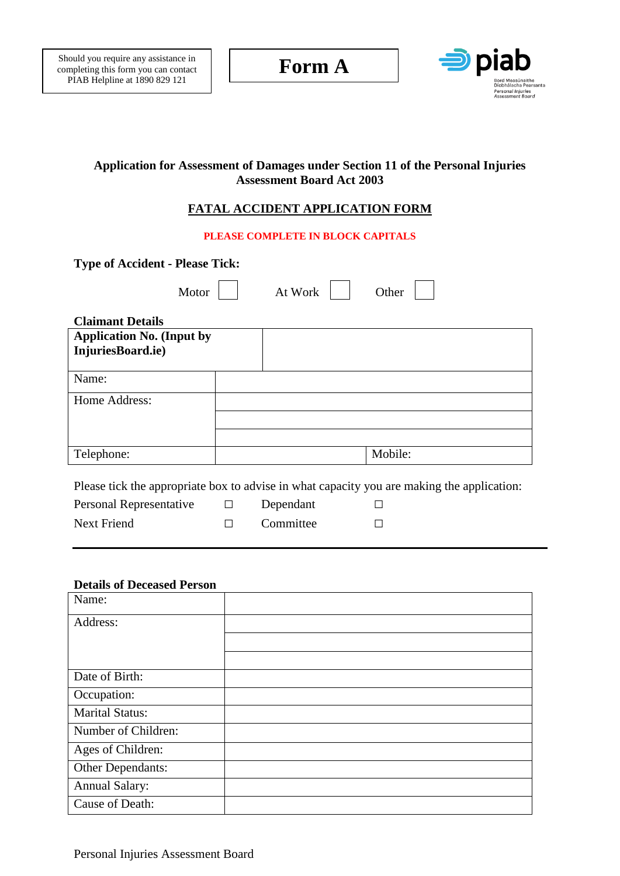

# **Application for Assessment of Damages under Section 11 of the Personal Injuries Assessment Board Act 2003**

# **FATAL ACCIDENT APPLICATION FORM**

**PLEASE COMPLETE IN BLOCK CAPITALS**

| <b>Type of Accident - Please Tick:</b>                             |       |         |                                                                                            |
|--------------------------------------------------------------------|-------|---------|--------------------------------------------------------------------------------------------|
|                                                                    | Motor | At Work | Other                                                                                      |
| <b>Claimant Details</b>                                            |       |         |                                                                                            |
| <b>Application No. (Input by</b>                                   |       |         |                                                                                            |
| InjuriesBoard.ie)                                                  |       |         |                                                                                            |
|                                                                    |       |         |                                                                                            |
| Name:                                                              |       |         |                                                                                            |
| Home Address:                                                      |       |         |                                                                                            |
|                                                                    |       |         |                                                                                            |
|                                                                    |       |         |                                                                                            |
| Telephone:                                                         |       |         | Mobile:                                                                                    |
| $\mathbf{r}$ in the set of $\mathbf{r}$ is the set of $\mathbf{r}$ |       |         | Please tick the appropriate box to advise in what capacity you are making the application: |

| Personal Representative | Dependant |  |
|-------------------------|-----------|--|
| Next Friend             | Committee |  |

#### **Details of Deceased Person**

| Name:                  |  |
|------------------------|--|
| Address:               |  |
|                        |  |
|                        |  |
| Date of Birth:         |  |
| Occupation:            |  |
| <b>Marital Status:</b> |  |
| Number of Children:    |  |
| Ages of Children:      |  |
| Other Dependants:      |  |
| <b>Annual Salary:</b>  |  |
| <b>Cause of Death:</b> |  |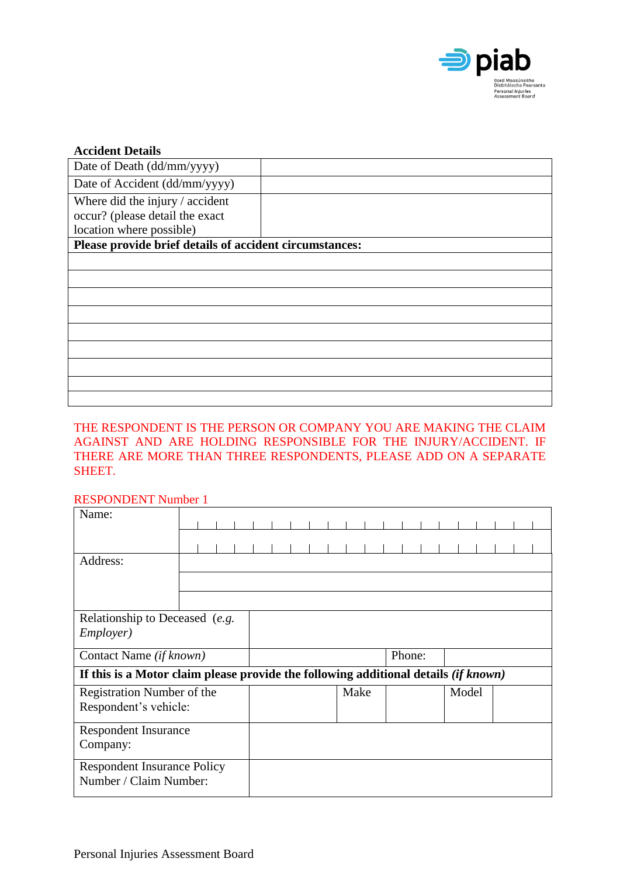

| <b>Accident Details</b>                                 |  |
|---------------------------------------------------------|--|
| Date of Death (dd/mm/yyyy)                              |  |
| Date of Accident (dd/mm/yyyy)                           |  |
| Where did the injury / accident                         |  |
| occur? (please detail the exact                         |  |
| location where possible)                                |  |
| Please provide brief details of accident circumstances: |  |
|                                                         |  |
|                                                         |  |
|                                                         |  |
|                                                         |  |
|                                                         |  |
|                                                         |  |
|                                                         |  |
|                                                         |  |
|                                                         |  |

## THE RESPONDENT IS THE PERSON OR COMPANY YOU ARE MAKING THE CLAIM AGAINST AND ARE HOLDING RESPONSIBLE FOR THE INJURY/ACCIDENT. IF THERE ARE MORE THAN THREE RESPONDENTS, PLEASE ADD ON A SEPARATE SHEET.

### RESPONDENT Number 1

| Name:                                                                                 |  |  |  |  |      |  |        |  |       |  |  |
|---------------------------------------------------------------------------------------|--|--|--|--|------|--|--------|--|-------|--|--|
|                                                                                       |  |  |  |  |      |  |        |  |       |  |  |
|                                                                                       |  |  |  |  |      |  |        |  |       |  |  |
| Address:                                                                              |  |  |  |  |      |  |        |  |       |  |  |
|                                                                                       |  |  |  |  |      |  |        |  |       |  |  |
|                                                                                       |  |  |  |  |      |  |        |  |       |  |  |
| Relationship to Deceased (e.g.                                                        |  |  |  |  |      |  |        |  |       |  |  |
| <i>Employer</i> )                                                                     |  |  |  |  |      |  |        |  |       |  |  |
| Contact Name (if known)                                                               |  |  |  |  |      |  | Phone: |  |       |  |  |
| If this is a Motor claim please provide the following additional details $(if known)$ |  |  |  |  |      |  |        |  |       |  |  |
| Registration Number of the                                                            |  |  |  |  | Make |  |        |  | Model |  |  |
| Respondent's vehicle:                                                                 |  |  |  |  |      |  |        |  |       |  |  |
| <b>Respondent Insurance</b>                                                           |  |  |  |  |      |  |        |  |       |  |  |
| Company:                                                                              |  |  |  |  |      |  |        |  |       |  |  |
| <b>Respondent Insurance Policy</b>                                                    |  |  |  |  |      |  |        |  |       |  |  |
| Number / Claim Number:                                                                |  |  |  |  |      |  |        |  |       |  |  |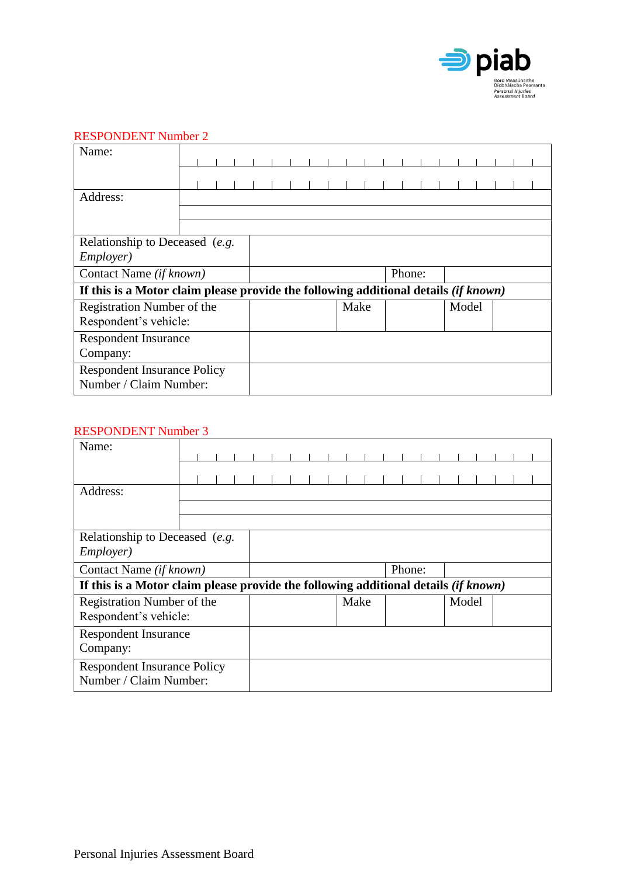

### RESPONDENT Number 2

| Name:                                                                                      |  |  |      |  |  |  |        |  |  |  |  |
|--------------------------------------------------------------------------------------------|--|--|------|--|--|--|--------|--|--|--|--|
|                                                                                            |  |  |      |  |  |  |        |  |  |  |  |
| Address:                                                                                   |  |  |      |  |  |  |        |  |  |  |  |
|                                                                                            |  |  |      |  |  |  |        |  |  |  |  |
| Relationship to Deceased (e.g.<br>Employer)                                                |  |  |      |  |  |  |        |  |  |  |  |
| Contact Name (if known)                                                                    |  |  |      |  |  |  | Phone: |  |  |  |  |
| If this is a Motor claim please provide the following additional details <i>(if known)</i> |  |  |      |  |  |  |        |  |  |  |  |
| Registration Number of the<br>Respondent's vehicle:                                        |  |  | Make |  |  |  | Model  |  |  |  |  |
| <b>Respondent Insurance</b><br>Company:                                                    |  |  |      |  |  |  |        |  |  |  |  |
| <b>Respondent Insurance Policy</b><br>Number / Claim Number:                               |  |  |      |  |  |  |        |  |  |  |  |

# RESPONDENT Number 3

| Name:                                                                               |  |  |  |  |      |  |        |  |       |  |  |
|-------------------------------------------------------------------------------------|--|--|--|--|------|--|--------|--|-------|--|--|
|                                                                                     |  |  |  |  |      |  |        |  |       |  |  |
| Address:                                                                            |  |  |  |  |      |  |        |  |       |  |  |
|                                                                                     |  |  |  |  |      |  |        |  |       |  |  |
| Relationship to Deceased (e.g.<br><i>Employer</i> )                                 |  |  |  |  |      |  |        |  |       |  |  |
| Contact Name (if known)                                                             |  |  |  |  |      |  | Phone: |  |       |  |  |
| If this is a Motor claim please provide the following additional details (if known) |  |  |  |  |      |  |        |  |       |  |  |
| Registration Number of the                                                          |  |  |  |  | Make |  |        |  | Model |  |  |
| Respondent's vehicle:                                                               |  |  |  |  |      |  |        |  |       |  |  |
| <b>Respondent Insurance</b>                                                         |  |  |  |  |      |  |        |  |       |  |  |
| Company:                                                                            |  |  |  |  |      |  |        |  |       |  |  |
| <b>Respondent Insurance Policy</b><br>Number / Claim Number:                        |  |  |  |  |      |  |        |  |       |  |  |